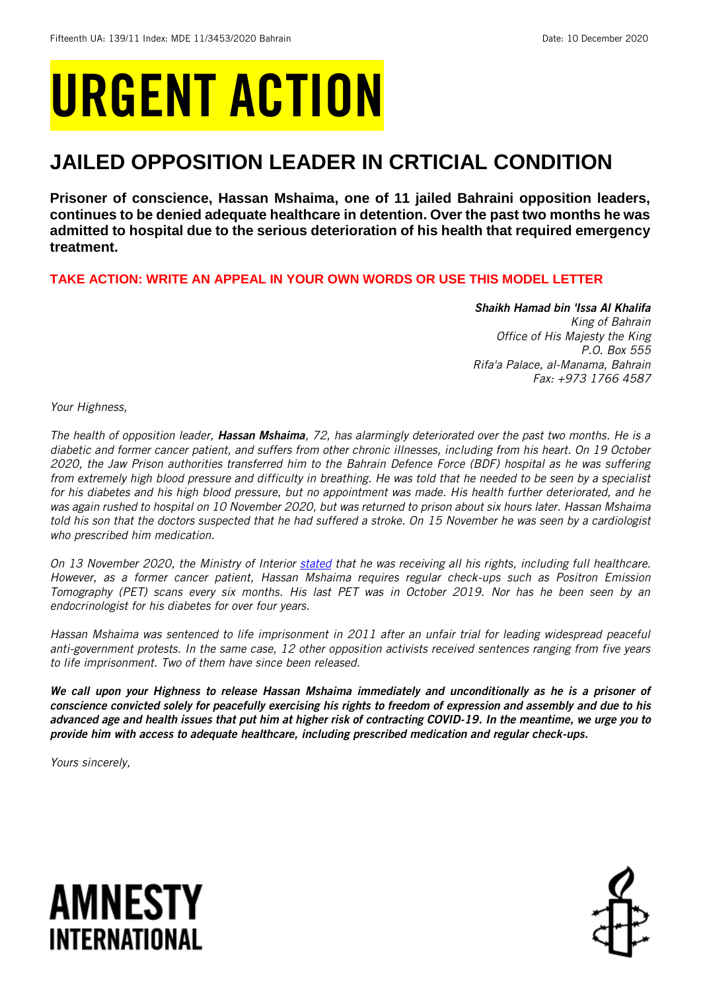# URGENT ACTION

## **JAILED OPPOSITION LEADER IN CRTICIAL CONDITION**

**Prisoner of conscience, Hassan Mshaima, one of 11 jailed Bahraini opposition leaders, continues to be denied adequate healthcare in detention. Over the past two months he was admitted to hospital due to the serious deterioration of his health that required emergency treatment.** 

**TAKE ACTION: WRITE AN APPEAL IN YOUR OWN WORDS OR USE THIS MODEL LETTER**

*Shaikh Hamad bin 'Issa Al Khalifa King of Bahrain Office of His Majesty the King P.O. Box 555 Rifa'a Palace, al-Manama, Bahrain Fax: +973 1766 4587*

*Your Highness,*

*The health of opposition leader, Hassan Mshaima, 72, has alarmingly deteriorated over the past two months. He is a diabetic and former cancer patient, and suffers from other chronic illnesses, including from his heart. On 19 October 2020, the Jaw Prison authorities transferred him to the Bahrain Defence Force (BDF) hospital as he was suffering from extremely high blood pressure and difficulty in breathing. He was told that he needed to be seen by a specialist for his diabetes and his high blood pressure, but no appointment was made. His health further deteriorated, and he was again rushed to hospital on 10 November 2020, but was returned to prison about six hours later. Hassan Mshaima told his son that the doctors suspected that he had suffered a stroke. On 15 November he was seen by a cardiologist who prescribed him medication.* 

*On 13 November 2020, the Ministry of Interior [stated](https://www.policemc.gov.bh/en/news/ministry/110337) that he was receiving all his rights, including full healthcare. However, as a former cancer patient, Hassan Mshaima requires regular check-ups such as Positron Emission Tomography (PET) scans every six months. His last PET was in October 2019. Nor has he been seen by an endocrinologist for his diabetes for over four years.*

*Hassan Mshaima was sentenced to life imprisonment in 2011 after an unfair trial for leading widespread peaceful anti-government protests. In the same case, 12 other opposition activists received sentences ranging from five years to life imprisonment. Two of them have since been released.*

*We call upon your Highness to release Hassan Mshaima immediately and unconditionally as he is a prisoner of conscience convicted solely for peacefully exercising his rights to freedom of expression and assembly and due to his advanced age and health issues that put him at higher risk of contracting COVID-19. In the meantime, we urge you to provide him with access to adequate healthcare, including prescribed medication and regular check-ups.*

*Yours sincerely,*